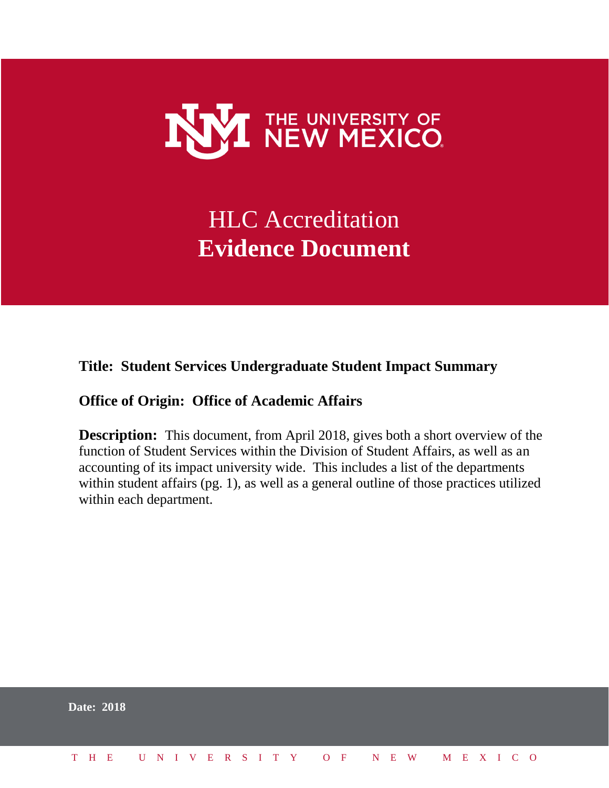

# HLC Accreditation **Evidence Document**

# **Title: Student Services Undergraduate Student Impact Summary**

# **Office of Origin: Office of Academic Affairs**

**Description:** This document, from April 2018, gives both a short overview of the function of Student Services within the Division of Student Affairs, as well as an accounting of its impact university wide. This includes a list of the departments within student affairs (pg. 1), as well as a general outline of those practices utilized within each department.

|  | <b>Date: 2018</b> |  |  |  |  |  |  |  |  |                          |  |  |  |  |
|--|-------------------|--|--|--|--|--|--|--|--|--------------------------|--|--|--|--|
|  | T H E             |  |  |  |  |  |  |  |  | UNIVERSITY OF NEW MEXICO |  |  |  |  |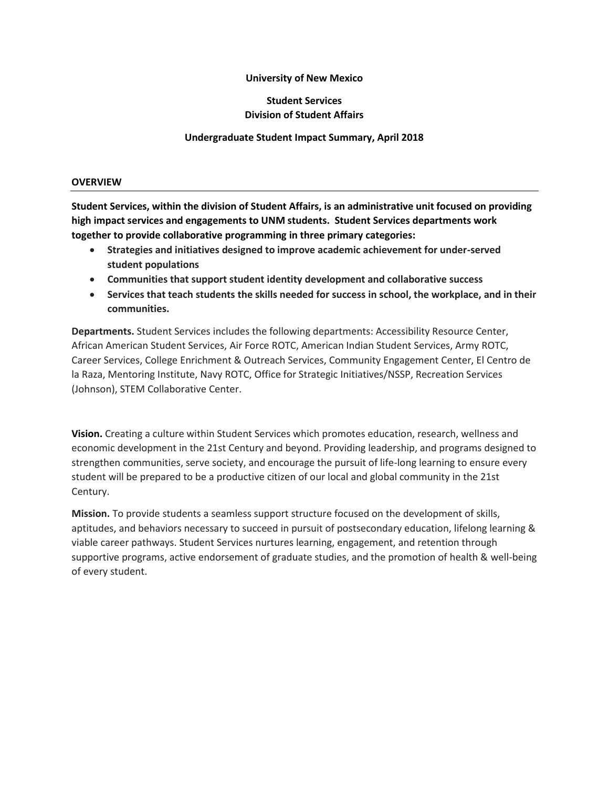#### **University of New Mexico**

# **Student Services Division of Student Affairs**

#### **Undergraduate Student Impact Summary, April 2018**

#### **OVERVIEW**

**Student Services, within the division of Student Affairs, is an administrative unit focused on providing high impact services and engagements to UNM students. Student Services departments work together to provide collaborative programming in three primary categories:**

- **Strategies and initiatives designed to improve academic achievement for under-served student populations**
- **Communities that support student identity development and collaborative success**
- **Services that teach students the skills needed for success in school, the workplace, and in their communities.**

**Departments.** Student Services includes the following departments: Accessibility Resource Center, African American Student Services, Air Force ROTC, American Indian Student Services, Army ROTC, Career Services, College Enrichment & Outreach Services, Community Engagement Center, El Centro de la Raza, Mentoring Institute, Navy ROTC, Office for Strategic Initiatives/NSSP, Recreation Services (Johnson), STEM Collaborative Center.

**Vision.** Creating a culture within Student Services which promotes education, research, wellness and economic development in the 21st Century and beyond. Providing leadership, and programs designed to strengthen communities, serve society, and encourage the pursuit of life-long learning to ensure every student will be prepared to be a productive citizen of our local and global community in the 21st Century.

**Mission.** To provide students a seamless support structure focused on the development of skills, aptitudes, and behaviors necessary to succeed in pursuit of postsecondary education, lifelong learning & viable career pathways. Student Services nurtures learning, engagement, and retention through supportive programs, active endorsement of graduate studies, and the promotion of health & well-being of every student.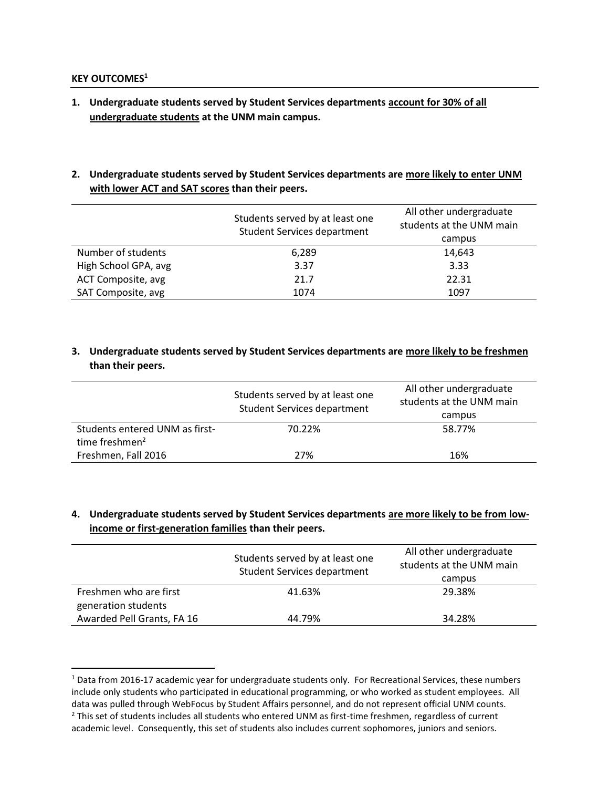#### **KEY OUTCOMES<sup>1</sup>**

 $\overline{\phantom{a}}$ 

- **1. Undergraduate students served by Student Services departments account for 30% of all undergraduate students at the UNM main campus.**
- **2. Undergraduate students served by Student Services departments are more likely to enter UNM with lower ACT and SAT scores than their peers.**

|                      | Students served by at least one<br><b>Student Services department</b> | All other undergraduate<br>students at the UNM main |  |  |  |
|----------------------|-----------------------------------------------------------------------|-----------------------------------------------------|--|--|--|
|                      |                                                                       | campus                                              |  |  |  |
| Number of students   | 6,289                                                                 | 14,643                                              |  |  |  |
| High School GPA, avg | 3.37                                                                  | 3.33                                                |  |  |  |
| ACT Composite, avg   | 21.7                                                                  | 22.31                                               |  |  |  |
| SAT Composite, avg   | 1074                                                                  | 1097                                                |  |  |  |

#### **3. Undergraduate students served by Student Services departments are more likely to be freshmen than their peers.**

|                                                              | Students served by at least one<br><b>Student Services department</b> | All other undergraduate<br>students at the UNM main<br>campus |
|--------------------------------------------------------------|-----------------------------------------------------------------------|---------------------------------------------------------------|
| Students entered UNM as first-<br>time freshmen <sup>2</sup> | 70.22%                                                                | 58.77%                                                        |
| Freshmen, Fall 2016                                          | 27%                                                                   | 16%                                                           |

#### **4. Undergraduate students served by Student Services departments are more likely to be from lowincome or first-generation families than their peers.**

|                                                   | Students served by at least one<br><b>Student Services department</b> | All other undergraduate<br>students at the UNM main<br>campus |
|---------------------------------------------------|-----------------------------------------------------------------------|---------------------------------------------------------------|
| Freshmen who are first                            | 41.63%                                                                | 29.38%                                                        |
| generation students<br>Awarded Pell Grants, FA 16 | 44.79%                                                                | 34.28%                                                        |

 $1$  Data from 2016-17 academic year for undergraduate students only. For Recreational Services, these numbers include only students who participated in educational programming, or who worked as student employees. All data was pulled through WebFocus by Student Affairs personnel, and do not represent official UNM counts.  $<sup>2</sup>$  This set of students includes all students who entered UNM as first-time freshmen, regardless of current</sup> academic level. Consequently, this set of students also includes current sophomores, juniors and seniors.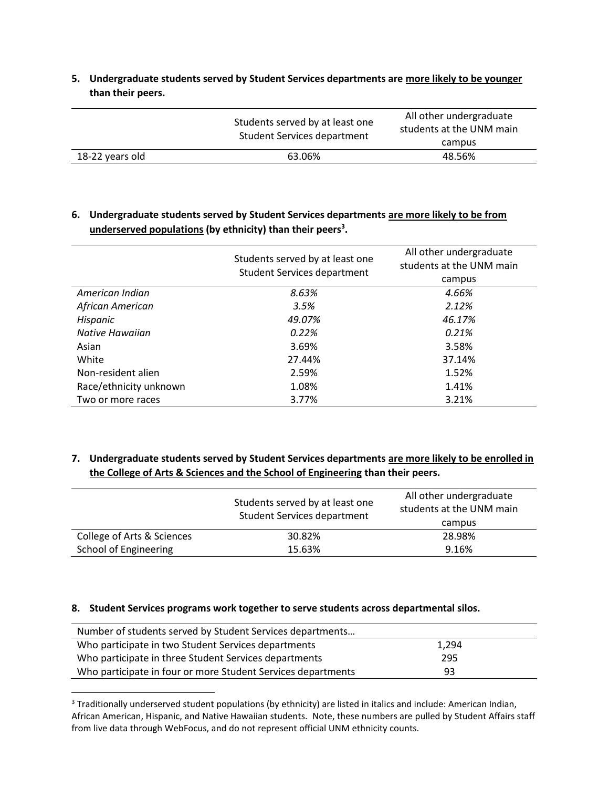**5. Undergraduate students served by Student Services departments are more likely to be younger than their peers.**

|                 | Students served by at least one<br>Student Services department | All other undergraduate<br>students at the UNM main |  |  |  |
|-----------------|----------------------------------------------------------------|-----------------------------------------------------|--|--|--|
|                 |                                                                | campus                                              |  |  |  |
| 18-22 years old | 63.06%                                                         | 48.56%                                              |  |  |  |

## **6. Undergraduate students served by Student Services departments are more likely to be from underserved populations (by ethnicity) than their peers<sup>3</sup> .**

|                        | Students served by at least one<br><b>Student Services department</b> | All other undergraduate<br>students at the UNM main |  |  |  |
|------------------------|-----------------------------------------------------------------------|-----------------------------------------------------|--|--|--|
|                        |                                                                       | campus                                              |  |  |  |
| American Indian        | 8.63%                                                                 | 4.66%                                               |  |  |  |
| African American       | 3.5%                                                                  | 2.12%                                               |  |  |  |
| Hispanic               | 49.07%                                                                | 46.17%                                              |  |  |  |
| Native Hawaiian        | 0.22%                                                                 | 0.21%                                               |  |  |  |
| Asian                  | 3.69%                                                                 | 3.58%                                               |  |  |  |
| White                  | 27.44%                                                                | 37.14%                                              |  |  |  |
| Non-resident alien     | 2.59%                                                                 | 1.52%                                               |  |  |  |
| Race/ethnicity unknown | 1.08%                                                                 | 1.41%                                               |  |  |  |
| Two or more races      | 3.77%                                                                 | 3.21%                                               |  |  |  |

## **7. Undergraduate students served by Student Services departments are more likely to be enrolled in the College of Arts & Sciences and the School of Engineering than their peers.**

|                            | Students served by at least one<br><b>Student Services department</b> | All other undergraduate<br>students at the UNM main<br>campus |
|----------------------------|-----------------------------------------------------------------------|---------------------------------------------------------------|
| College of Arts & Sciences | 30.82%                                                                | 28.98%                                                        |
| School of Engineering      | 15.63%                                                                | 9.16%                                                         |

#### **8. Student Services programs work together to serve students across departmental silos.**

 $\overline{a}$ 

| Number of students served by Student Services departments    |       |
|--------------------------------------------------------------|-------|
| Who participate in two Student Services departments          | 1.294 |
| Who participate in three Student Services departments        | 295   |
| Who participate in four or more Student Services departments | 93    |

<sup>&</sup>lt;sup>3</sup> Traditionally underserved student populations (by ethnicity) are listed in italics and include: American Indian, African American, Hispanic, and Native Hawaiian students. Note, these numbers are pulled by Student Affairs staff from live data through WebFocus, and do not represent official UNM ethnicity counts.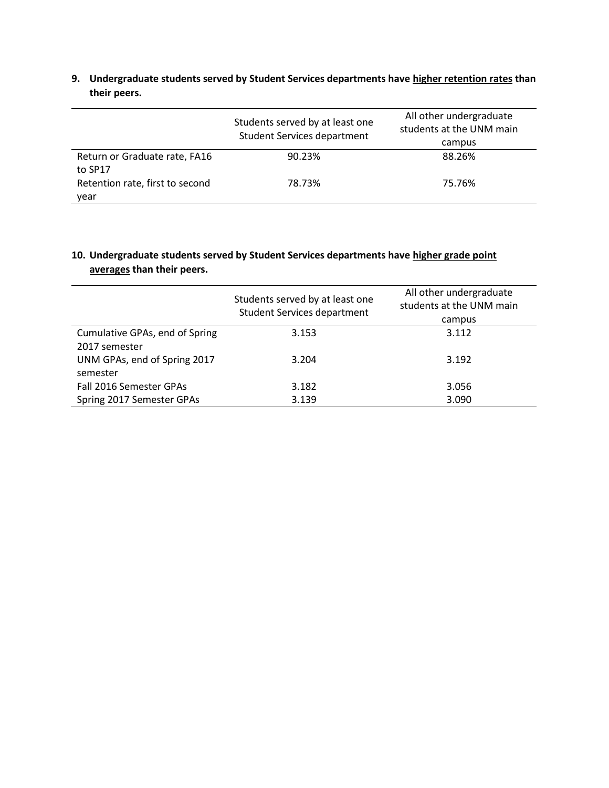**9. Undergraduate students served by Student Services departments have higher retention rates than their peers.**

|                                 | Students served by at least one<br><b>Student Services department</b> | All other undergraduate<br>students at the UNM main<br>campus |
|---------------------------------|-----------------------------------------------------------------------|---------------------------------------------------------------|
| Return or Graduate rate, FA16   | 90.23%                                                                | 88.26%                                                        |
| to SP17                         |                                                                       |                                                               |
| Retention rate, first to second | 78.73%                                                                | 75.76%                                                        |
| year                            |                                                                       |                                                               |

# **10. Undergraduate students served by Student Services departments have higher grade point averages than their peers.**

|                                | Students served by at least one<br><b>Student Services department</b> | All other undergraduate<br>students at the UNM main |  |  |  |
|--------------------------------|-----------------------------------------------------------------------|-----------------------------------------------------|--|--|--|
|                                |                                                                       | campus                                              |  |  |  |
| Cumulative GPAs, end of Spring | 3.153                                                                 | 3.112                                               |  |  |  |
| 2017 semester                  |                                                                       |                                                     |  |  |  |
| UNM GPAs, end of Spring 2017   | 3.204                                                                 | 3.192                                               |  |  |  |
| semester                       |                                                                       |                                                     |  |  |  |
| Fall 2016 Semester GPAs        | 3.182                                                                 | 3.056                                               |  |  |  |
| Spring 2017 Semester GPAs      | 3.139                                                                 | 3.090                                               |  |  |  |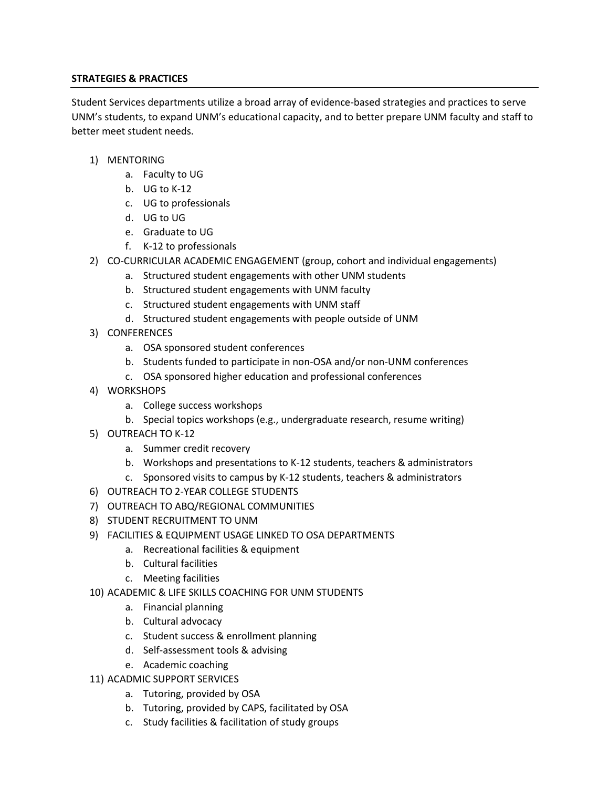#### **STRATEGIES & PRACTICES**

Student Services departments utilize a broad array of evidence-based strategies and practices to serve UNM's students, to expand UNM's educational capacity, and to better prepare UNM faculty and staff to better meet student needs.

- 1) MENTORING
	- a. Faculty to UG
	- b. UG to K-12
	- c. UG to professionals
	- d. UG to UG
	- e. Graduate to UG
	- f. K-12 to professionals
- 2) CO-CURRICULAR ACADEMIC ENGAGEMENT (group, cohort and individual engagements)
	- a. Structured student engagements with other UNM students
	- b. Structured student engagements with UNM faculty
	- c. Structured student engagements with UNM staff
	- d. Structured student engagements with people outside of UNM
- 3) CONFERENCES
	- a. OSA sponsored student conferences
	- b. Students funded to participate in non-OSA and/or non-UNM conferences
	- c. OSA sponsored higher education and professional conferences
- 4) WORKSHOPS
	- a. College success workshops
	- b. Special topics workshops (e.g., undergraduate research, resume writing)
- 5) OUTREACH TO K-12
	- a. Summer credit recovery
	- b. Workshops and presentations to K-12 students, teachers & administrators
	- c. Sponsored visits to campus by K-12 students, teachers & administrators
- 6) OUTREACH TO 2-YEAR COLLEGE STUDENTS
- 7) OUTREACH TO ABQ/REGIONAL COMMUNITIES
- 8) STUDENT RECRUITMENT TO UNM
- 9) FACILITIES & EQUIPMENT USAGE LINKED TO OSA DEPARTMENTS
	- a. Recreational facilities & equipment
	- b. Cultural facilities
	- c. Meeting facilities
- 10) ACADEMIC & LIFE SKILLS COACHING FOR UNM STUDENTS
	- a. Financial planning
	- b. Cultural advocacy
	- c. Student success & enrollment planning
	- d. Self-assessment tools & advising
	- e. Academic coaching
- 11) ACADMIC SUPPORT SERVICES
	- a. Tutoring, provided by OSA
	- b. Tutoring, provided by CAPS, facilitated by OSA
	- c. Study facilities & facilitation of study groups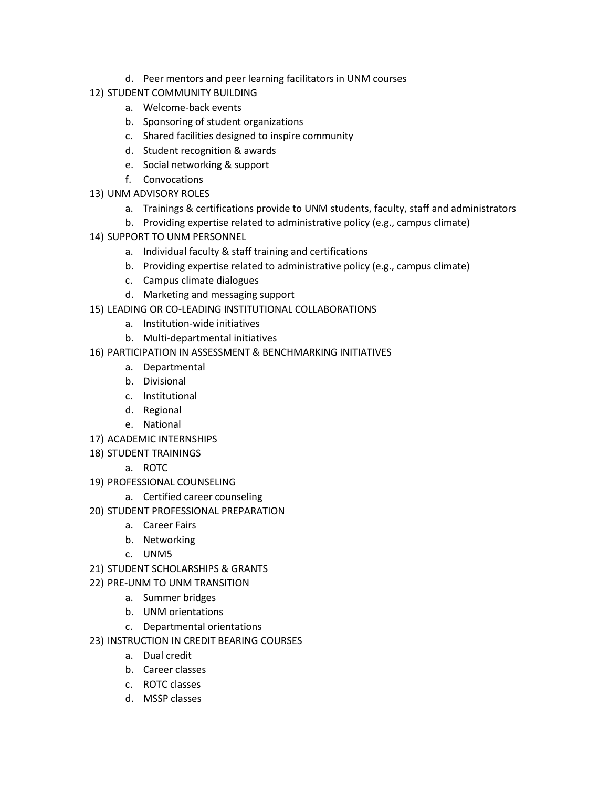- d. Peer mentors and peer learning facilitators in UNM courses
- 12) STUDENT COMMUNITY BUILDING
	- a. Welcome-back events
	- b. Sponsoring of student organizations
	- c. Shared facilities designed to inspire community
	- d. Student recognition & awards
	- e. Social networking & support
	- f. Convocations
- 13) UNM ADVISORY ROLES
	- a. Trainings & certifications provide to UNM students, faculty, staff and administrators
	- b. Providing expertise related to administrative policy (e.g., campus climate)
- 14) SUPPORT TO UNM PERSONNEL
	- a. Individual faculty & staff training and certifications
	- b. Providing expertise related to administrative policy (e.g., campus climate)
	- c. Campus climate dialogues
	- d. Marketing and messaging support
- 15) LEADING OR CO-LEADING INSTITUTIONAL COLLABORATIONS
	- a. Institution-wide initiatives
	- b. Multi-departmental initiatives
- 16) PARTICIPATION IN ASSESSMENT & BENCHMARKING INITIATIVES
	- a. Departmental
	- b. Divisional
	- c. Institutional
	- d. Regional
	- e. National
- 17) ACADEMIC INTERNSHIPS
- 18) STUDENT TRAININGS
	- a. ROTC
- 19) PROFESSIONAL COUNSELING
	- a. Certified career counseling
- 20) STUDENT PROFESSIONAL PREPARATION
	- a. Career Fairs
	- b. Networking
	- c. UNM5
- 21) STUDENT SCHOLARSHIPS & GRANTS
- 22) PRE-UNM TO UNM TRANSITION
	- a. Summer bridges
	- b. UNM orientations
	- c. Departmental orientations
- 23) INSTRUCTION IN CREDIT BEARING COURSES
	- a. Dual credit
	- b. Career classes
	- c. ROTC classes
	- d. MSSP classes